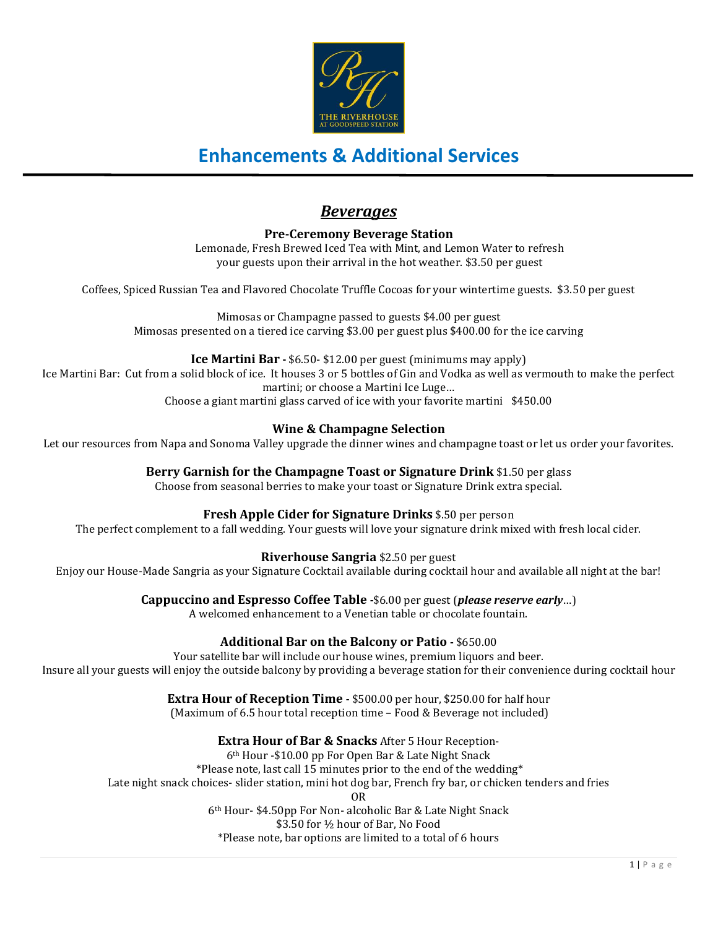

### *Beverages*

**Pre-Ceremony Beverage Station** Lemonade, Fresh Brewed Iced Tea with Mint, and Lemon Water to refresh your guests upon their arrival in the hot weather. \$3.50 per guest

Coffees, Spiced Russian Tea and Flavored Chocolate Truffle Cocoas for your wintertime guests. \$3.50 per guest

Mimosas or Champagne passed to guests \$4.00 per guest Mimosas presented on a tiered ice carving \$3.00 per guest plus \$400.00 for the ice carving

**Ice Martini Bar -** \$6.50- \$12.00 per guest (minimums may apply) Ice Martini Bar: Cut from a solid block of ice. It houses 3 or 5 bottles of Gin and Vodka as well as vermouth to make the perfect martini; or choose a Martini Ice Luge… Choose a giant martini glass carved of ice with your favorite martini \$450.00

### **Wine & Champagne Selection**

Let our resources from Napa and Sonoma Valley upgrade the dinner wines and champagne toast or let us order your favorites.

**Berry Garnish for the Champagne Toast or Signature Drink** \$1.50 per glass Choose from seasonal berries to make your toast or Signature Drink extra special.

**Fresh Apple Cider for Signature Drinks** \$.50 per person

The perfect complement to a fall wedding. Your guests will love your signature drink mixed with fresh local cider.

**Riverhouse Sangria** \$2.50 per guest

Enjoy our House-Made Sangria as your Signature Cocktail available during cocktail hour and available all night at the bar!

**Cappuccino and Espresso Coffee Table -**\$6.00 per guest (*please reserve early*…)

A welcomed enhancement to a Venetian table or chocolate fountain.

#### **Additional Bar on the Balcony or Patio -** \$650.00

Your satellite bar will include our house wines, premium liquors and beer. Insure all your guests will enjoy the outside balcony by providing a beverage station for their convenience during cocktail hour

### **Extra Hour of Reception Time -** \$500.00 per hour, \$250.00 for half hour

(Maximum of 6.5 hour total reception time – Food & Beverage not included)

**Extra Hour of Bar & Snacks** After 5 Hour Reception-

6th Hour -\$10.00 pp For Open Bar & Late Night Snack

\*Please note, last call 15 minutes prior to the end of the wedding\*

Late night snack choices- slider station, mini hot dog bar, French fry bar, or chicken tenders and fries

OR

6th Hour- \$4.50pp For Non- alcoholic Bar & Late Night Snack

\$3.50 for ½ hour of Bar, No Food

\*Please note, bar options are limited to a total of 6 hours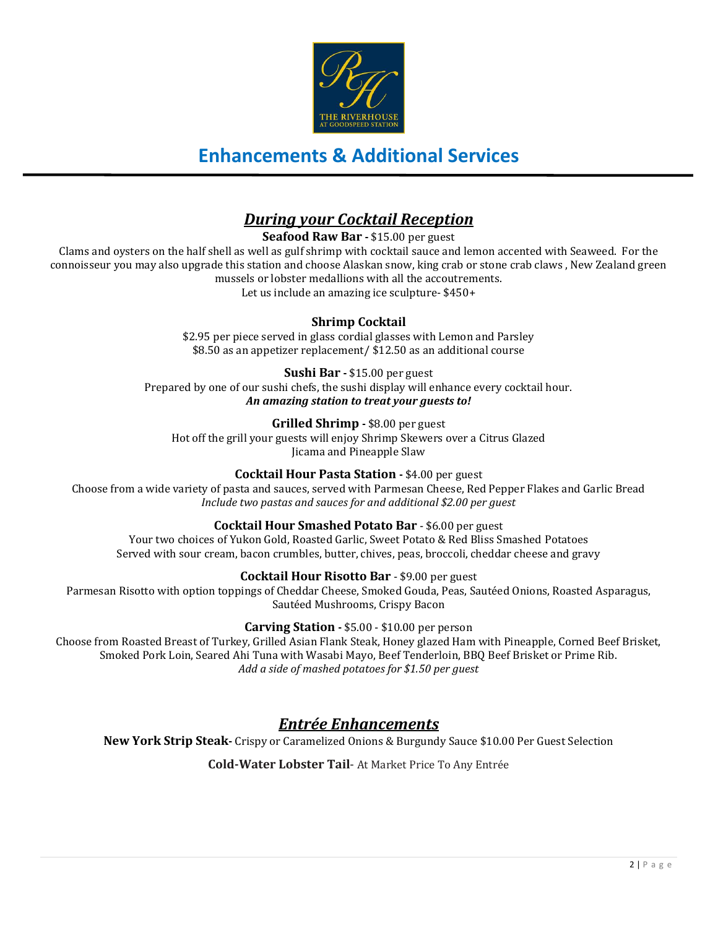

## *During your Cocktail Reception*

**Seafood Raw Bar -** \$15.00 per guest

Clams and oysters on the half shell as well as gulf shrimp with cocktail sauce and lemon accented with Seaweed. For the connoisseur you may also upgrade this station and choose Alaskan snow, king crab or stone crab claws , New Zealand green mussels or lobster medallions with all the accoutrements. Let us include an amazing ice sculpture- \$450+

### **Shrimp Cocktail**

\$2.95 per piece served in glass cordial glasses with Lemon and Parsley \$8.50 as an appetizer replacement/ \$12.50 as an additional course

**Sushi Bar -** \$15.00 per guest Prepared by one of our sushi chefs, the sushi display will enhance every cocktail hour. *An amazing station to treat your guests to!*

### **Grilled Shrimp -** \$8.00 per guest

Hot off the grill your guests will enjoy Shrimp Skewers over a Citrus Glazed Jicama and Pineapple Slaw

#### **Cocktail Hour Pasta Station -** \$4.00 per guest

Choose from a wide variety of pasta and sauces, served with Parmesan Cheese, Red Pepper Flakes and Garlic Bread *Include two pastas and sauces for and additional \$2.00 per guest*

#### **Cocktail Hour Smashed Potato Bar** - \$6.00 per guest

Your two choices of Yukon Gold, Roasted Garlic, Sweet Potato & Red Bliss Smashed Potatoes Served with sour cream, bacon crumbles, butter, chives, peas, broccoli, cheddar cheese and gravy

#### **Cocktail Hour Risotto Bar** - \$9.00 per guest

Parmesan Risotto with option toppings of Cheddar Cheese, Smoked Gouda, Peas, Sautéed Onions, Roasted Asparagus, Sautéed Mushrooms, Crispy Bacon

#### **Carving Station -** \$5.00 - \$10.00 per person

Choose from Roasted Breast of Turkey, Grilled Asian Flank Steak, Honey glazed Ham with Pineapple, Corned Beef Brisket, Smoked Pork Loin, Seared Ahi Tuna with Wasabi Mayo, Beef Tenderloin, BBQ Beef Brisket or Prime Rib. *Add a side of mashed potatoes for \$1.50 per guest*

### *Entrée Enhancements*

**New York Strip Steak-** Crispy or Caramelized Onions & Burgundy Sauce \$10.00 Per Guest Selection

**Cold-Water Lobster Tail**- At Market Price To Any Entrée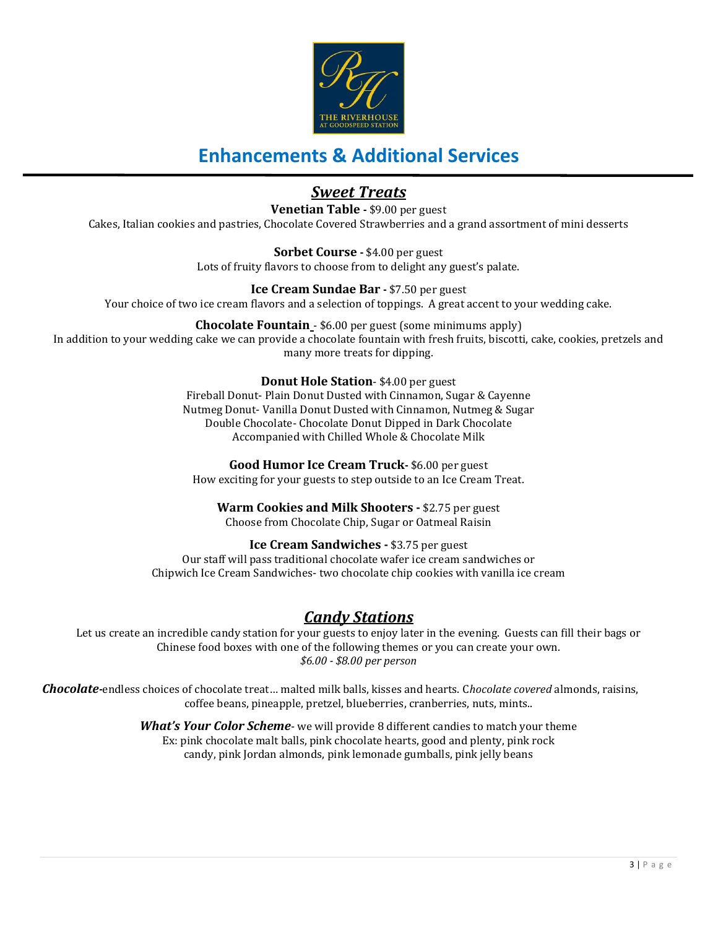

## *Sweet Treats*

**Venetian Table -** \$9.00 per guest

Cakes, Italian cookies and pastries, Chocolate Covered Strawberries and a grand assortment of mini desserts

**Sorbet Course -** \$4.00 per guest Lots of fruity flavors to choose from to delight any guest's palate.

**Ice Cream Sundae Bar -** \$7.50 per guest Your choice of two ice cream flavors and a selection of toppings. A great accent to your wedding cake.

**Chocolate Fountain** - \$6.00 per guest (some minimums apply) In addition to your wedding cake we can provide a chocolate fountain with fresh fruits, biscotti, cake, cookies, pretzels and many more treats for dipping.

### **Donut Hole Station**- \$4.00 per guest

Fireball Donut- Plain Donut Dusted with Cinnamon, Sugar & Cayenne Nutmeg Donut- Vanilla Donut Dusted with Cinnamon, Nutmeg & Sugar Double Chocolate- Chocolate Donut Dipped in Dark Chocolate Accompanied with Chilled Whole & Chocolate Milk

**Good Humor Ice Cream Truck-** \$6.00 per guest How exciting for your guests to step outside to an Ice Cream Treat.

**Warm Cookies and Milk Shooters -** \$2.75 per guest Choose from Chocolate Chip, Sugar or Oatmeal Raisin

**Ice Cream Sandwiches -** \$3.75 per guest Our staff will pass traditional chocolate wafer ice cream sandwiches or Chipwich Ice Cream Sandwiches- two chocolate chip cookies with vanilla ice cream

### *Candy Stations*

Let us create an incredible candy station for your guests to enjoy later in the evening. Guests can fill their bags or Chinese food boxes with one of the following themes or you can create your own. *\$6.00 - \$8.00 per person*

*Chocolate-*endless choices of chocolate treat… malted milk balls, kisses and hearts. C*hocolate covered* almonds, raisins, coffee beans, pineapple, pretzel, blueberries, cranberries, nuts, mints..

> *What's Your Color Scheme*- we will provide 8 different candies to match your theme Ex: pink chocolate malt balls, pink chocolate hearts, good and plenty, pink rock candy, pink Jordan almonds, pink lemonade gumballs, pink jelly beans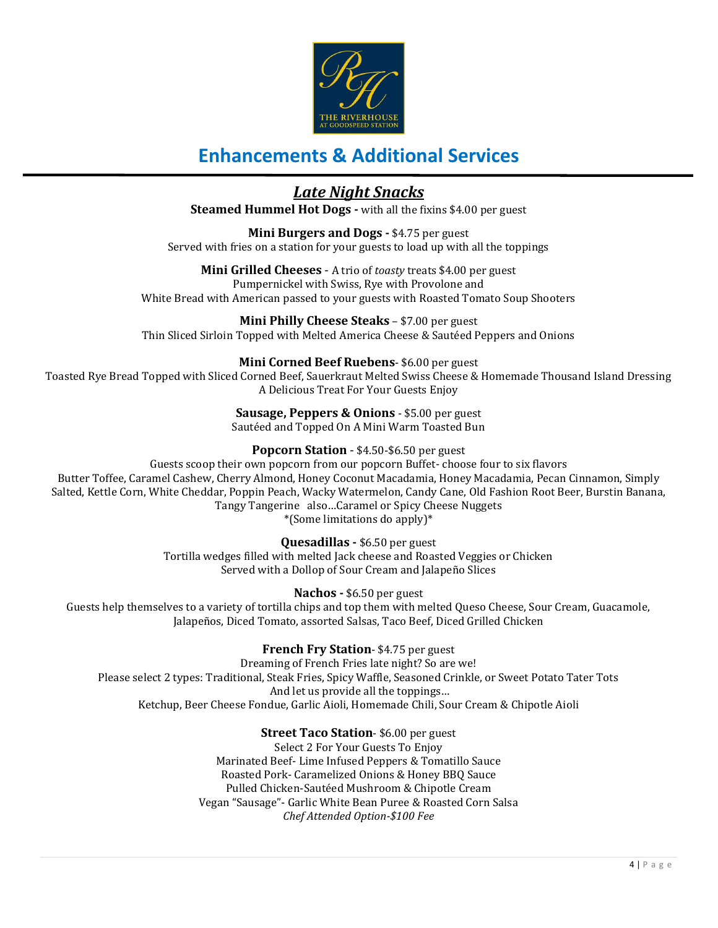

### *Late Night Snacks*

**Steamed Hummel Hot Dogs -** with all the fixins \$4.00 per guest

**Mini Burgers and Dogs -** \$4.75 per guest Served with fries on a station for your guests to load up with all the toppings

**Mini Grilled Cheeses** - A trio of *toasty* treats \$4.00 per guest Pumpernickel with Swiss, Rye with Provolone and White Bread with American passed to your guests with Roasted Tomato Soup Shooters

**Mini Philly Cheese Steaks** – \$7.00 per guest Thin Sliced Sirloin Topped with Melted America Cheese & Sautéed Peppers and Onions

### **Mini Corned Beef Ruebens**- \$6.00 per guest

Toasted Rye Bread Topped with Sliced Corned Beef, Sauerkraut Melted Swiss Cheese & Homemade Thousand Island Dressing A Delicious Treat For Your Guests Enjoy

> **Sausage, Peppers & Onions** - \$5.00 per guest Sautéed and Topped On A Mini Warm Toasted Bun

### **Popcorn Station** - \$4.50-\$6.50 per guest

Guests scoop their own popcorn from our popcorn Buffet- choose four to six flavors Butter Toffee, Caramel Cashew, Cherry Almond, Honey Coconut Macadamia, Honey Macadamia, Pecan Cinnamon, Simply Salted, Kettle Corn, White Cheddar, Poppin Peach, Wacky Watermelon, Candy Cane, Old Fashion Root Beer, Burstin Banana, Tangy Tangerine also…Caramel or Spicy Cheese Nuggets

\*(Some limitations do apply)\*

**Quesadillas -** \$6.50 per guest Tortilla wedges filled with melted Jack cheese and Roasted Veggies or Chicken

Served with a Dollop of Sour Cream and Jalapeño Slices

**Nachos -** \$6.50 per guest

Guests help themselves to a variety of tortilla chips and top them with melted Queso Cheese, Sour Cream, Guacamole, Jalapeños, Diced Tomato, assorted Salsas, Taco Beef, Diced Grilled Chicken

**French Fry Station**- \$4.75 per guest

Dreaming of French Fries late night? So are we! Please select 2 types: Traditional, Steak Fries, Spicy Waffle, Seasoned Crinkle, or Sweet Potato Tater Tots And let us provide all the toppings… Ketchup, Beer Cheese Fondue, Garlic Aioli, Homemade Chili, Sour Cream & Chipotle Aioli

### **Street Taco Station**- \$6.00 per guest

Select 2 For Your Guests To Enjoy Marinated Beef- Lime Infused Peppers & Tomatillo Sauce Roasted Pork- Caramelized Onions & Honey BBQ Sauce Pulled Chicken-Sautéed Mushroom & Chipotle Cream Vegan "Sausage"- Garlic White Bean Puree & Roasted Corn Salsa *Chef Attended Option-\$100 Fee*